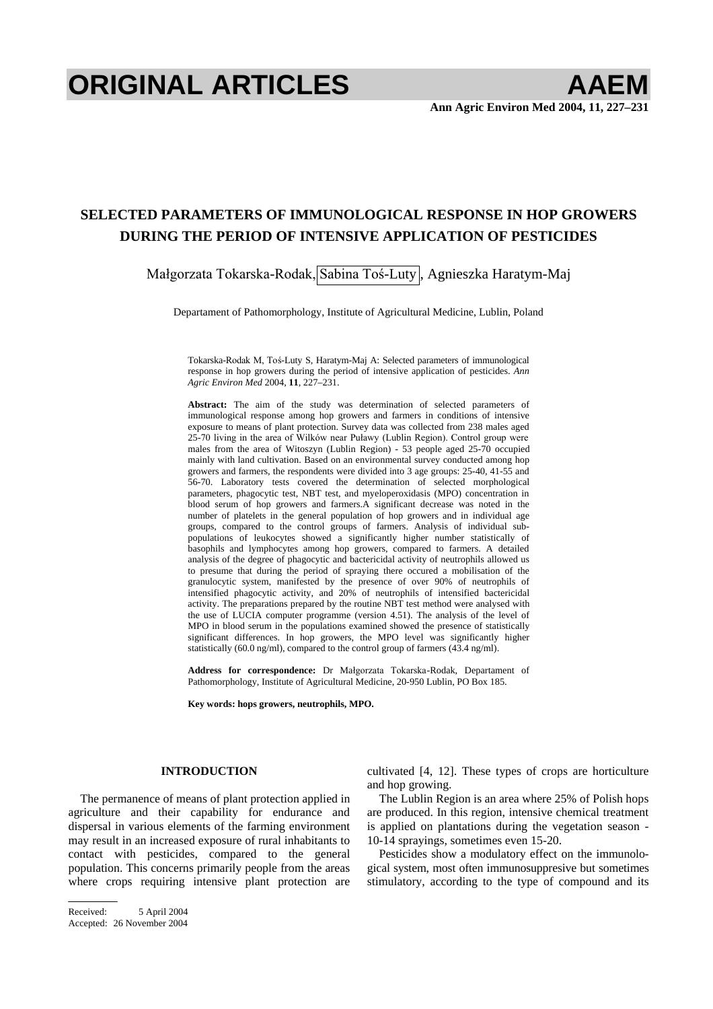# **ORIGINAL ARTICLES AAEM**

# **SELECTED PARAMETERS OF IMMUNOLOGICAL RESPONSE IN HOP GROWERS DURING THE PERIOD OF INTENSIVE APPLICATION OF PESTICIDES**

Małgorzata Tokarska-Rodak, Sabina Toś-Luty , Agnieszka Haratym-Maj

Departament of Pathomorphology, Institute of Agricultural Medicine, Lublin, Poland

Tokarska-Rodak M, Toś-Luty S, Haratym-Maj A: Selected parameters of immunological response in hop growers during the period of intensive application of pesticides. *Ann Agric Environ Med* 2004, **11**, 227–231.

**Abstract:** The aim of the study was determination of selected parameters of immunological response among hop growers and farmers in conditions of intensive exposure to means of plant protection. Survey data was collected from 238 males aged 25-70 living in the area of Wilków near Puławy (Lublin Region). Control group were males from the area of Witoszyn (Lublin Region) - 53 people aged 25-70 occupied mainly with land cultivation. Based on an environmental survey conducted among hop growers and farmers, the respondents were divided into 3 age groups: 25-40, 41-55 and 56-70. Laboratory tests covered the determination of selected morphological parameters, phagocytic test, NBT test, and myeloperoxidasis (MPO) concentration in blood serum of hop growers and farmers.A significant decrease was noted in the number of platelets in the general population of hop growers and in individual age groups, compared to the control groups of farmers. Analysis of individual subpopulations of leukocytes showed a significantly higher number statistically of basophils and lymphocytes among hop growers, compared to farmers. A detailed analysis of the degree of phagocytic and bactericidal activity of neutrophils allowed us to presume that during the period of spraying there occured a mobilisation of the granulocytic system, manifested by the presence of over 90% of neutrophils of intensified phagocytic activity, and 20% of neutrophils of intensified bactericidal activity. The preparations prepared by the routine NBT test method were analysed with the use of LUCIA computer programme (version 4.51). The analysis of the level of MPO in blood serum in the populations examined showed the presence of statistically significant differences. In hop growers, the MPO level was significantly higher statistically (60.0 ng/ml), compared to the control group of farmers (43.4 ng/ml).

Address for correspondence: Dr Małgorzata Tokarska-Rodak, Departament of Pathomorphology, Institute of Agricultural Medicine, 20-950 Lublin, PO Box 185.

**Key words: hops growers, neutrophils, MPO.** 

### **INTRODUCTION**

The permanence of means of plant protection applied in agriculture and their capability for endurance and dispersal in various elements of the farming environment may result in an increased exposure of rural inhabitants to contact with pesticides, compared to the general population. This concerns primarily people from the areas where crops requiring intensive plant protection are cultivated [4, 12]. These types of crops are horticulture and hop growing.

The Lublin Region is an area where 25% of Polish hops are produced. In this region, intensive chemical treatment is applied on plantations during the vegetation season - 10-14 sprayings, sometimes even 15-20.

Pesticides show a modulatory effect on the immunological system, most often immunosuppresive but sometimes stimulatory, according to the type of compound and its

Received: 5 April 2004 Accepted: 26 November 2004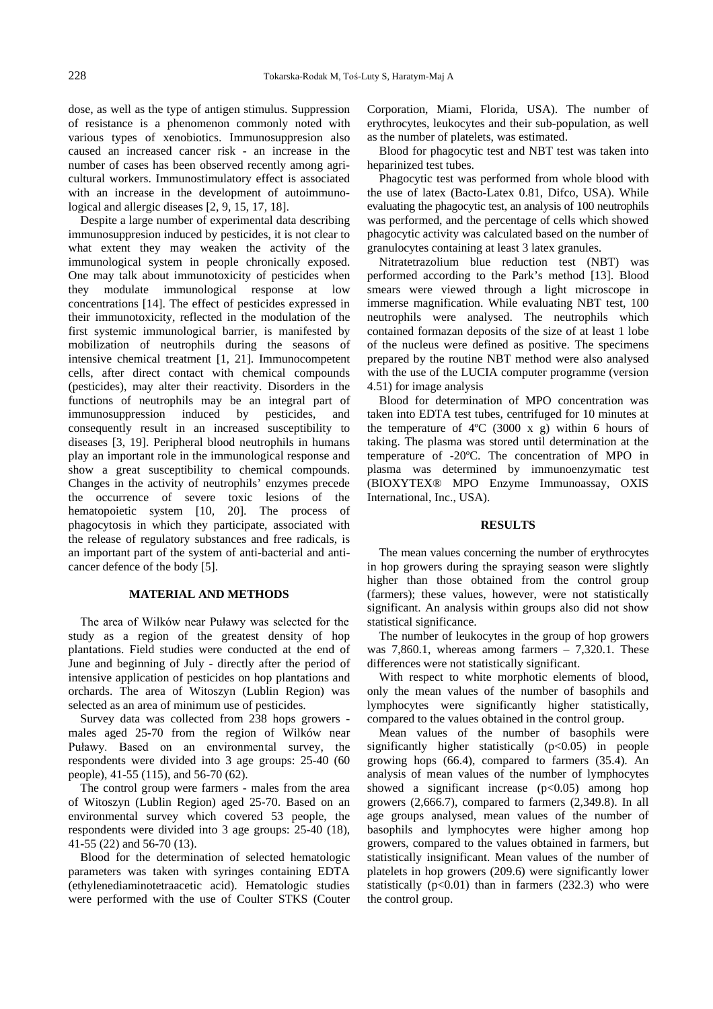dose, as well as the type of antigen stimulus. Suppression of resistance is a phenomenon commonly noted with various types of xenobiotics. Immunosuppresion also caused an increased cancer risk - an increase in the number of cases has been observed recently among agricultural workers. Immunostimulatory effect is associated with an increase in the development of autoimmunological and allergic diseases [2, 9, 15, 17, 18].

Despite a large number of experimental data describing immunosuppresion induced by pesticides, it is not clear to what extent they may weaken the activity of the immunological system in people chronically exposed. One may talk about immunotoxicity of pesticides when they modulate immunological response at low concentrations [14]. The effect of pesticides expressed in their immunotoxicity, reflected in the modulation of the first systemic immunological barrier, is manifested by mobilization of neutrophils during the seasons of intensive chemical treatment [1, 21]. Immunocompetent cells, after direct contact with chemical compounds (pesticides), may alter their reactivity. Disorders in the functions of neutrophils may be an integral part of immunosuppression induced by pesticides, and immunosuppression induced by pesticides, and consequently result in an increased susceptibility to diseases [3, 19]. Peripheral blood neutrophils in humans play an important role in the immunological response and show a great susceptibility to chemical compounds. Changes in the activity of neutrophils' enzymes precede the occurrence of severe toxic lesions of the hematopoietic system [10, 20]. The process of phagocytosis in which they participate, associated with the release of regulatory substances and free radicals, is an important part of the system of anti-bacterial and anticancer defence of the body [5].

#### **MATERIAL AND METHODS**

The area of Wilków near Puławy was selected for the study as a region of the greatest density of hop plantations. Field studies were conducted at the end of June and beginning of July - directly after the period of intensive application of pesticides on hop plantations and orchards. The area of Witoszyn (Lublin Region) was selected as an area of minimum use of pesticides.

Survey data was collected from 238 hops growers males aged 25-70 from the region of Wilków near Puławy. Based on an environmental survey, the respondents were divided into 3 age groups: 25-40 (60 people), 41-55 (115), and 56-70 (62).

The control group were farmers - males from the area of Witoszyn (Lublin Region) aged 25-70. Based on an environmental survey which covered 53 people, the respondents were divided into 3 age groups: 25-40 (18), 41-55 (22) and 56-70 (13).

Blood for the determination of selected hematologic parameters was taken with syringes containing EDTA (ethylenediaminotetraacetic acid). Hematologic studies were performed with the use of Coulter STKS (Couter Corporation, Miami, Florida, USA). The number of erythrocytes, leukocytes and their sub-population, as well as the number of platelets, was estimated.

Blood for phagocytic test and NBT test was taken into heparinized test tubes.

Phagocytic test was performed from whole blood with the use of latex (Bacto-Latex 0.81, Difco, USA). While evaluating the phagocytic test, an analysis of 100 neutrophils was performed, and the percentage of cells which showed phagocytic activity was calculated based on the number of granulocytes containing at least 3 latex granules.

Nitratetrazolium blue reduction test (NBT) was performed according to the Park's method [13]. Blood smears were viewed through a light microscope in immerse magnification. While evaluating NBT test, 100 neutrophils were analysed. The neutrophils which contained formazan deposits of the size of at least 1 lobe of the nucleus were defined as positive. The specimens prepared by the routine NBT method were also analysed with the use of the LUCIA computer programme (version 4.51) for image analysis

Blood for determination of MPO concentration was taken into EDTA test tubes, centrifuged for 10 minutes at the temperature of  $4^{\circ}C$  (3000 x g) within 6 hours of taking. The plasma was stored until determination at the temperature of -20ºC. The concentration of MPO in plasma was determined by immunoenzymatic test (BIOXYTEX® MPO Enzyme Immunoassay, OXIS International, Inc., USA).

#### **RESULTS**

The mean values concerning the number of erythrocytes in hop growers during the spraying season were slightly higher than those obtained from the control group (farmers); these values, however, were not statistically significant. An analysis within groups also did not show statistical significance.

The number of leukocytes in the group of hop growers was  $7,860.1$ , whereas among farmers –  $7,320.1$ . These differences were not statistically significant.

With respect to white morphotic elements of blood, only the mean values of the number of basophils and lymphocytes were significantly higher statistically, compared to the values obtained in the control group.

Mean values of the number of basophils were significantly higher statistically  $(p<0.05)$  in people growing hops (66.4), compared to farmers (35.4). An analysis of mean values of the number of lymphocytes showed a significant increase  $(p<0.05)$  among hop growers (2,666.7), compared to farmers (2,349.8). In all age groups analysed, mean values of the number of basophils and lymphocytes were higher among hop growers, compared to the values obtained in farmers, but statistically insignificant. Mean values of the number of platelets in hop growers (209.6) were significantly lower statistically  $(p<0.01)$  than in farmers (232.3) who were the control group.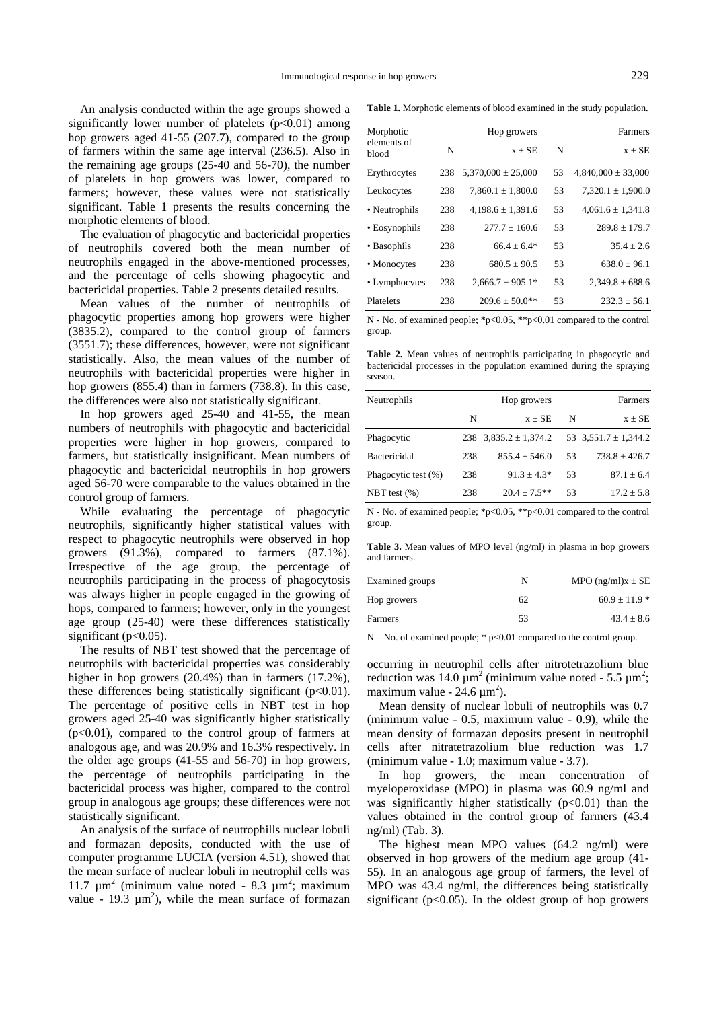**Table 1.** Morphotic elements of blood examined in the study population.

An analysis conducted within the age groups showed a significantly lower number of platelets  $(p<0.01)$  among hop growers aged 41-55 (207.7), compared to the group of farmers within the same age interval (236.5). Also in the remaining age groups (25-40 and 56-70), the number of platelets in hop growers was lower, compared to farmers; however, these values were not statistically significant. Table 1 presents the results concerning the morphotic elements of blood.

The evaluation of phagocytic and bactericidal properties of neutrophils covered both the mean number of neutrophils engaged in the above-mentioned processes, and the percentage of cells showing phagocytic and bactericidal properties. Table 2 presents detailed results.

Mean values of the number of neutrophils of phagocytic properties among hop growers were higher (3835.2), compared to the control group of farmers (3551.7); these differences, however, were not significant statistically. Also, the mean values of the number of neutrophils with bactericidal properties were higher in hop growers (855.4) than in farmers (738.8). In this case, the differences were also not statistically significant.

In hop growers aged 25-40 and 41-55, the mean numbers of neutrophils with phagocytic and bactericidal properties were higher in hop growers, compared to farmers, but statistically insignificant. Mean numbers of phagocytic and bactericidal neutrophils in hop growers aged 56-70 were comparable to the values obtained in the control group of farmers.

While evaluating the percentage of phagocytic neutrophils, significantly higher statistical values with respect to phagocytic neutrophils were observed in hop growers (91.3%), compared to farmers (87.1%). Irrespective of the age group, the percentage of neutrophils participating in the process of phagocytosis was always higher in people engaged in the growing of hops, compared to farmers; however, only in the youngest age group (25-40) were these differences statistically significant ( $p<0.05$ ).

The results of NBT test showed that the percentage of neutrophils with bactericidal properties was considerably higher in hop growers (20.4%) than in farmers (17.2%), these differences being statistically significant  $(p<0.01)$ . The percentage of positive cells in NBT test in hop growers aged 25-40 was significantly higher statistically  $(p<0.01)$ , compared to the control group of farmers at analogous age, and was 20.9% and 16.3% respectively. In the older age groups (41-55 and 56-70) in hop growers, the percentage of neutrophils participating in the bactericidal process was higher, compared to the control group in analogous age groups; these differences were not statistically significant.

An analysis of the surface of neutrophills nuclear lobuli and formazan deposits, conducted with the use of computer programme LUCIA (version 4.51), showed that the mean surface of nuclear lobuli in neutrophil cells was 11.7  $\mu$ m<sup>2</sup> (minimum value noted - 8.3  $\mu$ m<sup>2</sup>; maximum value - 19.3  $\mu$ m<sup>2</sup>), while the mean surface of formazan

| Morphotic            | Hop growers |                        |    | Farmers                |
|----------------------|-------------|------------------------|----|------------------------|
| elements of<br>blood | N           | $x + SE$               | N  | $x + SE$               |
| Erythrocytes         | 238         | $5,370,000 \pm 25,000$ | 53 | $4,840,000 \pm 33,000$ |
| Leukocytes           | 238         | $7,860.1 \pm 1,800.0$  | 53 | $7,320.1 \pm 1,900.0$  |
| • Neutrophils        | 238         | $4,198.6 \pm 1,391.6$  | 53 | $4,061.6 \pm 1,341.8$  |
| • Eosynophils        | 238         | $277.7 \pm 160.6$      | 53 | $289.8 + 179.7$        |
| • Basophils          | 238         | $66.4 + 6.4*$          | 53 | $35.4 + 2.6$           |
| • Monocytes          | 238         | $680.5 + 90.5$         | 53 | $638.0 + 96.1$         |
| • Lymphocytes        | 238         | $2.666.7 \pm 905.1*$   | 53 | $2.349.8 \pm 688.6$    |
| Platelets            | 238         | $209.6 \pm 50.0$ **    | 53 | $232.3 \pm 56.1$       |

N - No. of examined people; \*p<0.05, \*\*p<0.01 compared to the control group.

**Table 2.** Mean values of neutrophils participating in phagocytic and bactericidal processes in the population examined during the spraying season.

| Neutrophils         | Farmers<br>Hop growers |                             |    |                          |
|---------------------|------------------------|-----------------------------|----|--------------------------|
|                     | N                      | $x + SE$                    | N  | $x \pm SE$               |
| Phagocytic          |                        | $238$ $3,835.2 \pm 1,374.2$ |    | 53 $3,551.7 \pm 1,344.2$ |
| <b>Bactericidal</b> | 238                    | $855.4 + 546.0$             | 53 | $738.8 \pm 426.7$        |
| Phagocytic test (%) | 238                    | $91.3 + 4.3*$               | 53 | $87.1 \pm 6.4$           |
| NBT test $(\% )$    | 238                    | $20.4 + 7.5**$              | 53 | $17.2 \pm 5.8$           |

N - No. of examined people; \*p<0.05, \*\*p<0.01 compared to the control group.

**Table 3.** Mean values of MPO level (ng/ml) in plasma in hop growers and farmers.

| Examined groups | N  | MPO $(ng/ml)x \pm SE$ |
|-----------------|----|-----------------------|
| Hop growers     | 62 | $60.9 \pm 11.9$ *     |
| Farmers         | 53 | $43.4 \pm 8.6$        |

 $N - No$ . of examined people; \* p<0.01 compared to the control group.

occurring in neutrophil cells after nitrotetrazolium blue reduction was 14.0  $\mu$ m<sup>2</sup> (minimum value noted - 5.5  $\mu$ m<sup>2</sup>; maximum value -  $24.6 \mu m^2$ ).

Mean density of nuclear lobuli of neutrophils was 0.7 (minimum value - 0.5, maximum value - 0.9), while the mean density of formazan deposits present in neutrophil cells after nitratetrazolium blue reduction was 1.7 (minimum value - 1.0; maximum value - 3.7).

In hop growers, the mean concentration of myeloperoxidase (MPO) in plasma was 60.9 ng/ml and was significantly higher statistically  $(p<0.01)$  than the values obtained in the control group of farmers (43.4 ng/ml) (Tab. 3).

The highest mean MPO values (64.2 ng/ml) were observed in hop growers of the medium age group (41- 55). In an analogous age group of farmers, the level of MPO was 43.4 ng/ml, the differences being statistically significant ( $p<0.05$ ). In the oldest group of hop growers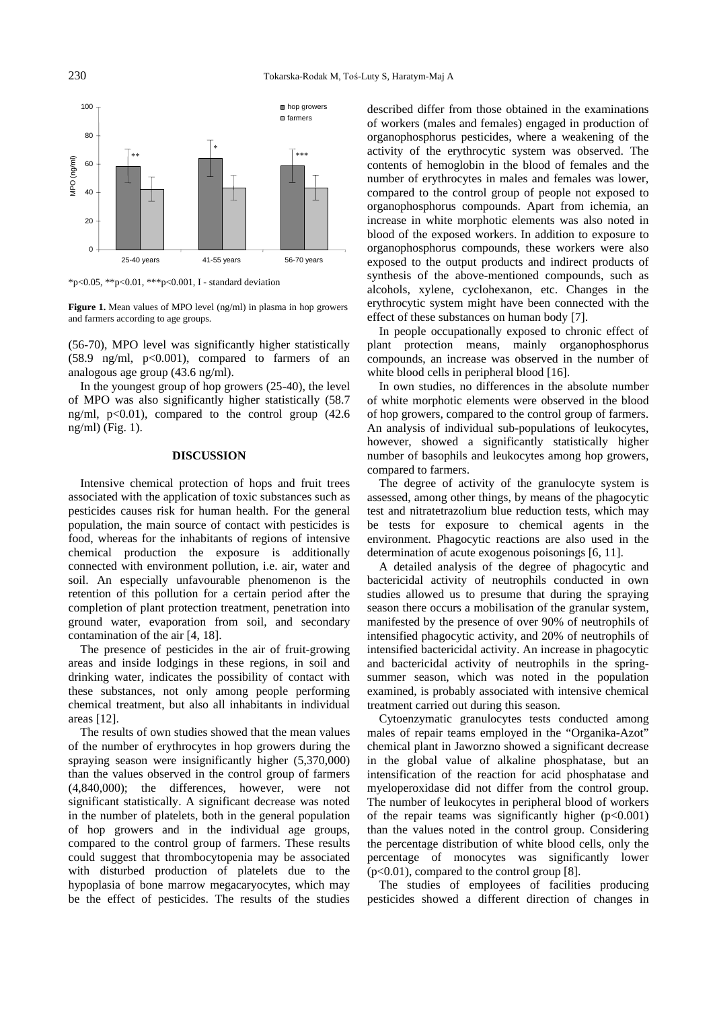

\*p<0.05, \*\*p<0.01, \*\*\*p<0.001, I - standard deviation

**Figure 1.** Mean values of MPO level (ng/ml) in plasma in hop growers and farmers according to age groups.

(56-70), MPO level was significantly higher statistically  $(58.9 \text{ ng/ml}, \text{ p} < 0.001)$ , compared to farmers of an analogous age group (43.6 ng/ml).

In the youngest group of hop growers (25-40), the level of MPO was also significantly higher statistically (58.7 ng/ml,  $p<0.01$ ), compared to the control group (42.6) ng/ml) (Fig. 1).

## **DISCUSSION**

Intensive chemical protection of hops and fruit trees associated with the application of toxic substances such as pesticides causes risk for human health. For the general population, the main source of contact with pesticides is food, whereas for the inhabitants of regions of intensive chemical production the exposure is additionally connected with environment pollution, i.e. air, water and soil. An especially unfavourable phenomenon is the retention of this pollution for a certain period after the completion of plant protection treatment, penetration into ground water, evaporation from soil, and secondary contamination of the air [4, 18].

The presence of pesticides in the air of fruit-growing areas and inside lodgings in these regions, in soil and drinking water, indicates the possibility of contact with these substances, not only among people performing chemical treatment, but also all inhabitants in individual areas [12].

The results of own studies showed that the mean values of the number of erythrocytes in hop growers during the spraying season were insignificantly higher (5,370,000) than the values observed in the control group of farmers (4,840,000); the differences, however, were not significant statistically. A significant decrease was noted in the number of platelets, both in the general population of hop growers and in the individual age groups, compared to the control group of farmers. These results could suggest that thrombocytopenia may be associated with disturbed production of platelets due to the hypoplasia of bone marrow megacaryocytes, which may be the effect of pesticides. The results of the studies described differ from those obtained in the examinations of workers (males and females) engaged in production of organophosphorus pesticides, where a weakening of the activity of the erythrocytic system was observed. The contents of hemoglobin in the blood of females and the number of erythrocytes in males and females was lower, compared to the control group of people not exposed to organophosphorus compounds. Apart from ichemia, an increase in white morphotic elements was also noted in blood of the exposed workers. In addition to exposure to organophosphorus compounds, these workers were also exposed to the output products and indirect products of synthesis of the above-mentioned compounds, such as alcohols, xylene, cyclohexanon, etc. Changes in the erythrocytic system might have been connected with the effect of these substances on human body [7].

In people occupationally exposed to chronic effect of plant protection means, mainly organophosphorus compounds, an increase was observed in the number of white blood cells in peripheral blood [16].

In own studies, no differences in the absolute number of white morphotic elements were observed in the blood of hop growers, compared to the control group of farmers. An analysis of individual sub-populations of leukocytes, however, showed a significantly statistically higher number of basophils and leukocytes among hop growers, compared to farmers.

The degree of activity of the granulocyte system is assessed, among other things, by means of the phagocytic test and nitratetrazolium blue reduction tests, which may be tests for exposure to chemical agents in the environment. Phagocytic reactions are also used in the determination of acute exogenous poisonings [6, 11].

A detailed analysis of the degree of phagocytic and bactericidal activity of neutrophils conducted in own studies allowed us to presume that during the spraying season there occurs a mobilisation of the granular system, manifested by the presence of over 90% of neutrophils of intensified phagocytic activity, and 20% of neutrophils of intensified bactericidal activity. An increase in phagocytic and bactericidal activity of neutrophils in the springsummer season, which was noted in the population examined, is probably associated with intensive chemical treatment carried out during this season.

Cytoenzymatic granulocytes tests conducted among males of repair teams employed in the "Organika-Azot" chemical plant in Jaworzno showed a significant decrease in the global value of alkaline phosphatase, but an intensification of the reaction for acid phosphatase and myeloperoxidase did not differ from the control group. The number of leukocytes in peripheral blood of workers of the repair teams was significantly higher  $(p<0.001)$ than the values noted in the control group. Considering the percentage distribution of white blood cells, only the percentage of monocytes was significantly lower  $(p<0.01)$ , compared to the control group [8].

The studies of employees of facilities producing pesticides showed a different direction of changes in